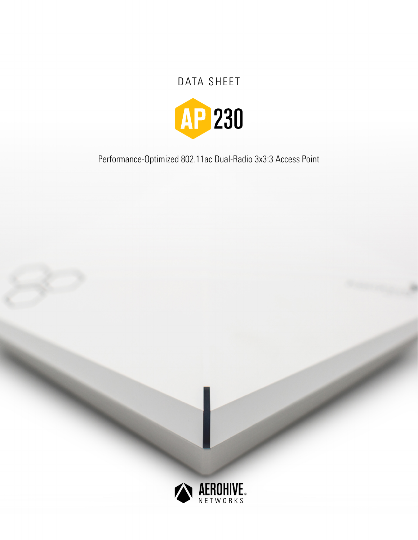# DATA SHEET



Performance-Optimized 802.11ac Dual-Radio 3x3:3 Access Point

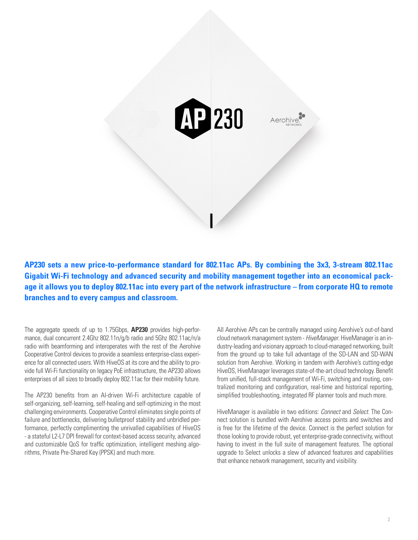

**AP230 sets a new price-to-performance standard for 802.11ac APs. By combining the 3x3, 3-stream 802.11ac Gigabit Wi-Fi technology and advanced security and mobility management together into an economical package it allows you to deploy 802.11ac into every part of the network infrastructure – from corporate HQ to remote branches and to every campus and classroom.** 

The aggregate speeds of up to 1.75Gbps, **AP230** provides high-performance, dual concurrent 2.4Ghz 802.11n/g/b radio and 5Ghz 802.11ac/n/a radio with beamforming and interoperates with the rest of the Aerohive Cooperative Control devices to provide a seamless enterprise-class experience for all connected users. With HiveOS at its core and the ability to provide full Wi-Fi functionality on legacy PoE infrastructure, the AP230 allows enterprises of all sizes to broadly deploy 802.11ac for their mobility future.

The AP230 benefits from an AI-driven Wi-Fi architecture capable of self-organizing, self-learning, self-healing and self-optimizing in the most challenging environments. Cooperative Control eliminates single points of failure and bottlenecks, delivering bulletproof stability and unbridled performance, perfectly complimenting the unrivalled capabilities of HiveOS - a stateful L2-L7 DPI firewall for context-based access security, advanced and customizable QoS for traffic optimization, intelligent meshing algorithms, Private Pre-Shared Key (PPSK) and much more.

All Aerohive APs can be centrally managed using Aerohive's out-of-band cloud network management system - *HiveManager*. HiveManager is an industry-leading and visionary approach to cloud-managed networking, built from the ground up to take full advantage of the SD-LAN and SD-WAN solution from Aerohive. Working in tandem with Aerohive's cutting-edge HiveOS, HiveManager leverages state-of-the-art cloud technology. Benefit from unified, full-stack management of Wi-Fi, switching and routing, centralized monitoring and configuration, real-time and historical reporting, simplified troubleshooting, integrated RF planner tools and much more.

HiveManager is available in two editions: *Connect* and *Select*. The Connect solution is bundled with Aerohive access points and switches and is free for the lifetime of the device. Connect is the perfect solution for those looking to provide robust, yet enterprise-grade connectivity, without having to invest in the full suite of management features. The optional upgrade to Select unlocks a slew of advanced features and capabilities that enhance network management, security and visibility.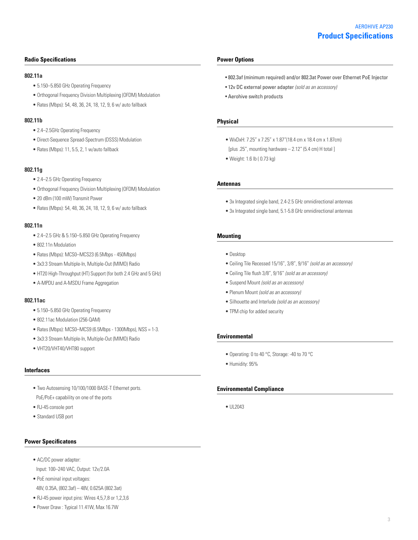#### **Radio Specifications**

#### **802.11a**

- 5.150–5.850 GHz Operating Frequency
- Orthogonal Frequency Division Multiplexing (OFDM) Modulation
- Rates (Mbps): 54, 48, 36, 24, 18, 12, 9, 6 w/ auto fallback

#### **802.11b**

- 2.4–2.5GHz Operating Frequency
- Direct-Sequence Spread-Spectrum (DSSS) Modulation
- Rates (Mbps): 11, 5.5, 2, 1 w/auto fallback

#### **802.11g**

- 2.4–2.5 GHz Operating Frequency
- Orthogonal Frequency Division Multiplexing (OFDM) Modulation
- 20 dBm (100 mW) Transmit Power
- Rates (Mbps): 54, 48, 36, 24, 18, 12, 9, 6 w/ auto fallback

### **802.11n**

- 2.4–2.5 GHz & 5.150–5.850 GHz Operating Frequency
- 802.11n Modulation
- Rates (Mbps): MCS0–MCS23 (6.5Mbps 450Mbps)
- 3x3:3 Stream Multiple-In, Multiple-Out (MIMO) Radio
- HT20 High-Throughput (HT) Support (for both 2.4 GHz and 5 GHz)
- A-MPDU and A-MSDU Frame Aggregation

#### **802.11ac**

- 5.150–5.850 GHz Operating Frequency
- 802.11ac Modulation (256-QAM)
- Rates (Mbps): MCS0–MCS9 (6.5Mbps 1300Mbps), NSS = 1-3.
- 3x3:3 Stream Multiple-In, Multiple-Out (MIMO) Radio
- VHT20/VHT40/VHT80 support

#### **Interfaces**

- Two Autosensing 10/100/1000 BASE-T Ethernet ports. PoE/PoE+ capability on one of the ports
- RJ-45 console port
- Standard USB port

#### **Power Specificatons**

- AC/DC power adapter: Input: 100–240 VAC, Output: 12v/2.0A
- PoE nominal input voltages: 48V, 0.35A, (802.3af) – 48V, 0.625A (802.3at)
- RJ-45 power input pins: Wires 4,5,7,8 or 1,2,3,6
- Power Draw : Typical 11.41W, Max 16.7W

#### **Power Options**

- 802.3af (minimum required) and/or 802.3at Power over Ethernet PoE Injector
- 12v DC external power adapter *(sold as an accessory)*
- Aerohive switch products

#### **Physical**

- WxDxH: 7.25" x 7.25" x 1.87"(18.4 cm x 18.4 cm x 1.87cm) [plus .25", mounting hardware  $- 2.12$ " (5.4 cm) H total ]
- Weight: 1.6 lb ( 0.73 kg)

#### **Antennas**

- 3x Integrated single band, 2.4-2.5 GHz omnidirectional antennas
- 3x Integrated single band, 5.1-5.8 GHz omnidirectional antennas

#### **Mounting**

- Desktop
- Ceiling Tile Recessed 15/16", 3/8", 9/16" *(sold as an accessory)*
- Ceiling Tile flush 3/8", 9/16" *(sold as an accessory)*
- Suspend Mount *(sold as an accessory)*
- Plenum Mount *(sold as an accessory)*
- Silhouette and Interlude *(sold as an accessory)*
- TPM chip for added security

#### **Environmental**

- Operating: 0 to 40 °C, Storage: -40 to 70 °C
- Humidity: 95%

#### **Environmental Compliance**

• UL2043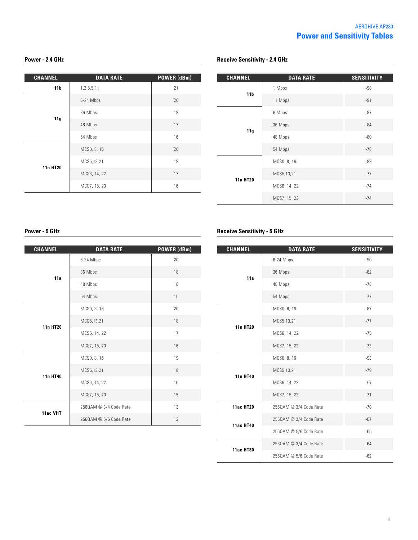# **Power - 2.4 GHz Power - 2.4 GHz Receive Sensitivity - 2.4 GHz**

| <b>CHANNEL</b>  | <b>DATA RATE</b> | <b>POWER (dBm)</b> |
|-----------------|------------------|--------------------|
| 11 <sub>b</sub> | 1,2,5.5,11       | 21                 |
| 11g             | 6-24 Mbps        | 20                 |
|                 | 36 Mbps          | 18                 |
|                 | 48 Mbps          | 17                 |
|                 | 54 Mbps          | 16                 |
| 11n HT20        | MCS0, 8, 16      | 20                 |
|                 | MCS5,13,21       | 18                 |
|                 | MCS6, 14, 22     | 17                 |
|                 | MCS7, 15, 23     | 16                 |

| <b>CHANNEL</b>  | <b>DATA RATE</b> | <b>SENSITIVITY</b> |
|-----------------|------------------|--------------------|
| 11 <sub>b</sub> | 1 Mbps           | $-98$              |
|                 | 11 Mbps          | $-91$              |
| 11g             | 6 Mbps           | $-87$              |
|                 | 36 Mbps          | $-84$              |
|                 | 48 Mbps          | $-80$              |
|                 | 54 Mbps          | $-78$              |
| 11n HT20        | MCS0, 8, 16      | -89                |
|                 | MCS5,13,21       | $-77$              |
|                 | MCS6, 14, 22     | $-74$              |
|                 | MCS7, 15, 23     | $-74$              |

| <b>CHANNEL</b>  | <b>DATA RATE</b>       | POWER (dBm) |
|-----------------|------------------------|-------------|
| 11a             | 6-24 Mbps              | 20          |
|                 | 36 Mbps                | 18          |
|                 | 48 Mbps                | 16          |
|                 | 54 Mbps                | 15          |
| <b>11n HT20</b> | MCS0, 8, 16            | 20          |
|                 | MCS5,13,21             | 18          |
|                 | MCS6, 14, 22           | 17          |
|                 | MCS7, 15, 23           | 16          |
| <b>11n HT40</b> | MCS0, 8, 16            | 19          |
|                 | MCS5,13,21             | 18          |
|                 | MCS6, 14, 22           | 16          |
|                 | MCS7, 15, 23           | 15          |
| 11ac VHT        | 2560AM @ 3/4 Code Rate | 13          |
|                 | 2560AM @ 5/6 Code Rate | 12          |

# **Power - 5 GHz Receive Sensitivity - 5 GHz**

| <b>CHANNEL</b>   | <b>DATA RATE</b>       | <b>SENSITIVITY</b> |
|------------------|------------------------|--------------------|
| 11a              | 6-24 Mbps              | $-90$              |
|                  | 36 Mbps                | $-82$              |
|                  | 48 Mbps                | $-78$              |
|                  | 54 Mbps                | $-77$              |
| <b>11n HT20</b>  | MCS0, 8, 16            | $-87$              |
|                  | MCS5,13,21             | $-77$              |
|                  | MCS6, 14, 22           | $-75$              |
|                  | MCS7, 15, 23           | $-73$              |
| 11n HT40         | MCS0, 8, 16            | $-93$              |
|                  | MCS5,13,21             | $-79$              |
|                  | MCS6, 14, 22           | 75                 |
|                  | MCS7, 15, 23           | $-71$              |
| <b>11ac HT20</b> | 2560AM @ 3/4 Code Rate | $-70$              |
| <b>11ac HT40</b> | 2560AM @ 3/4 Code Rate | $-67$              |
|                  | 2560AM @ 5/6 Code Rate | $-65$              |
| <b>11ac HT80</b> | 2560AM @ 3/4 Code Rate | $-64$              |
|                  | 2560AM @ 5/6 Code Rate | $-62$              |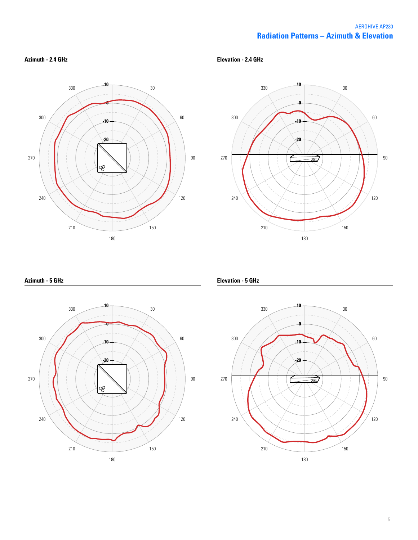# **Radiation Patterns – Azimuth & Elevation** AEROHIVE AP230





**Azimuth - 5 GHz**



**Elevation - 5 GHz**

**Elevation - 2.4 GHz**